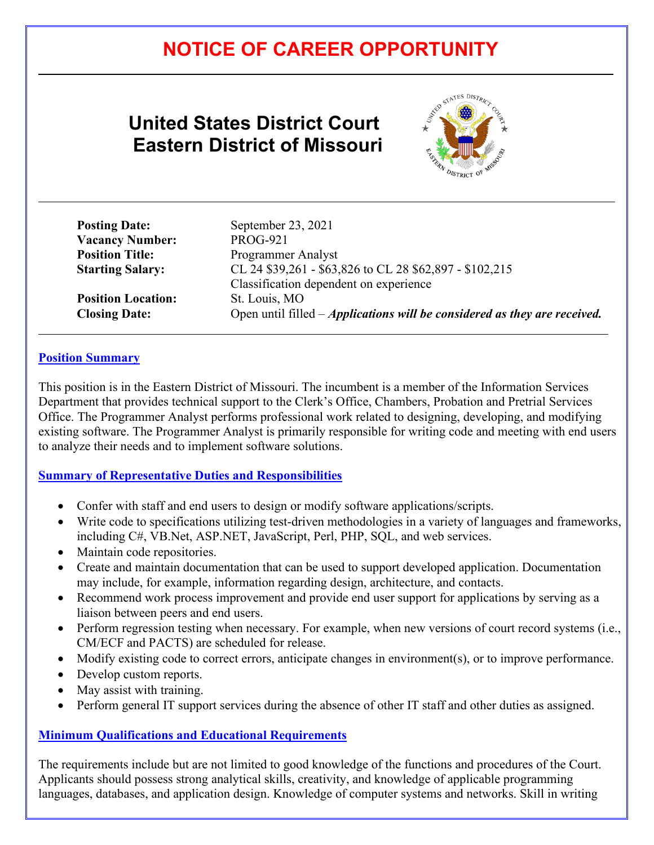# **NOTICE OF CAREER OPPORTUNITY**

# **United States District Court Eastern District of Missouri**

**Posting Date:** September 23, 2021



| <b>Posting Date:</b>    |
|-------------------------|
| <b>Vacancy Number:</b>  |
| <b>Position Title:</b>  |
| <b>Starting Salary:</b> |

**Position Location:** St. Louis, MO

**Vacancy Number:** PROG-921 **Programmer Analyst Starting Salary:** CL 24 \$39,261 - \$63,826 to CL 28 \$62,897 - \$102,215 Classification dependent on experience **Closing Date:** Open until filled – *Applications will be considered as they are received.* 

### **Position Summary**

 $\overline{a}$ 

 $\overline{a}$ 

This position is in the Eastern District of Missouri. The incumbent is a member of the Information Services Department that provides technical support to the Clerk's Office, Chambers, Probation and Pretrial Services Office. The Programmer Analyst performs professional work related to designing, developing, and modifying existing software. The Programmer Analyst is primarily responsible for writing code and meeting with end users to analyze their needs and to implement software solutions.

#### **Summary of Representative Duties and Responsibilities**

- Confer with staff and end users to design or modify software applications/scripts.
- Write code to specifications utilizing test-driven methodologies in a variety of languages and frameworks, including C#, VB.Net, ASP.NET, JavaScript, Perl, PHP, SQL, and web services.
- Maintain code repositories.
- Create and maintain documentation that can be used to support developed application. Documentation may include, for example, information regarding design, architecture, and contacts.
- Recommend work process improvement and provide end user support for applications by serving as a liaison between peers and end users.
- Perform regression testing when necessary. For example, when new versions of court record systems (i.e., CM/ECF and PACTS) are scheduled for release.
- Modify existing code to correct errors, anticipate changes in environment(s), or to improve performance.
- Develop custom reports.
- May assist with training.
- Perform general IT support services during the absence of other IT staff and other duties as assigned.

# **Minimum Qualifications and Educational Requirements**

The requirements include but are not limited to good knowledge of the functions and procedures of the Court. Applicants should possess strong analytical skills, creativity, and knowledge of applicable programming languages, databases, and application design. Knowledge of computer systems and networks. Skill in writing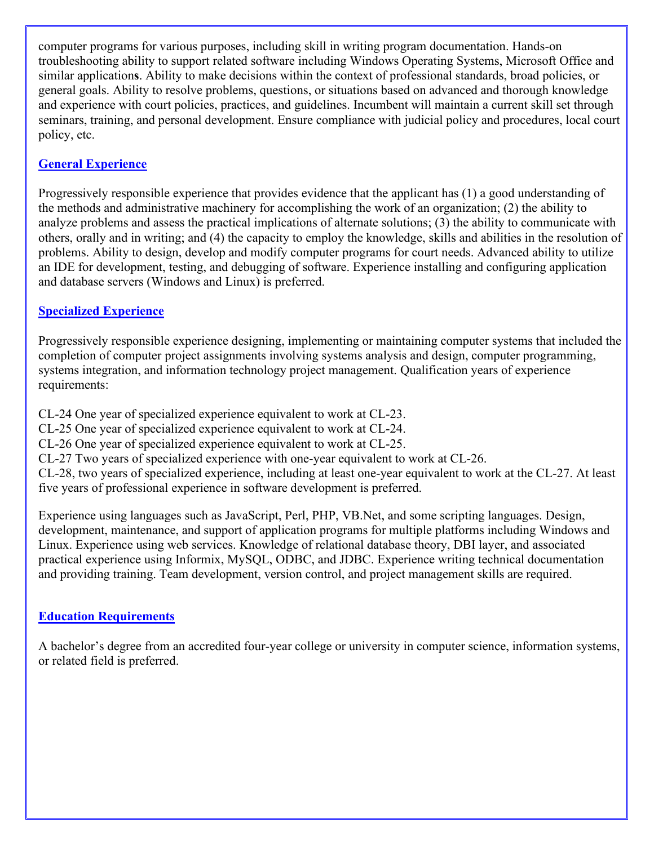computer programs for various purposes, including skill in writing program documentation. Hands-on troubleshooting ability to support related software including Windows Operating Systems, Microsoft Office and similar application**s**. Ability to make decisions within the context of professional standards, broad policies, or general goals. Ability to resolve problems, questions, or situations based on advanced and thorough knowledge and experience with court policies, practices, and guidelines. Incumbent will maintain a current skill set through seminars, training, and personal development. Ensure compliance with judicial policy and procedures, local court policy, etc.

# **General Experience**

Progressively responsible experience that provides evidence that the applicant has (1) a good understanding of the methods and administrative machinery for accomplishing the work of an organization; (2) the ability to analyze problems and assess the practical implications of alternate solutions; (3) the ability to communicate with others, orally and in writing; and (4) the capacity to employ the knowledge, skills and abilities in the resolution of problems. Ability to design, develop and modify computer programs for court needs. Advanced ability to utilize an IDE for development, testing, and debugging of software. Experience installing and configuring application and database servers (Windows and Linux) is preferred.

### **Specialized Experience**

Progressively responsible experience designing, implementing or maintaining computer systems that included the completion of computer project assignments involving systems analysis and design, computer programming, systems integration, and information technology project management. Qualification years of experience requirements:

CL-24 One year of specialized experience equivalent to work at CL-23.

CL-25 One year of specialized experience equivalent to work at CL-24.

CL-26 One year of specialized experience equivalent to work at CL-25.

CL-27 Two years of specialized experience with one-year equivalent to work at CL-26.

CL-28, two years of specialized experience, including at least one-year equivalent to work at the CL-27. At least five years of professional experience in software development is preferred.

Experience using languages such as JavaScript, Perl, PHP, VB.Net, and some scripting languages. Design, development, maintenance, and support of application programs for multiple platforms including Windows and Linux. Experience using web services. Knowledge of relational database theory, DBI layer, and associated practical experience using Informix, MySQL, ODBC, and JDBC. Experience writing technical documentation and providing training. Team development, version control, and project management skills are required.

#### **Education Requirements**

A bachelor's degree from an accredited four-year college or university in computer science, information systems, or related field is preferred.